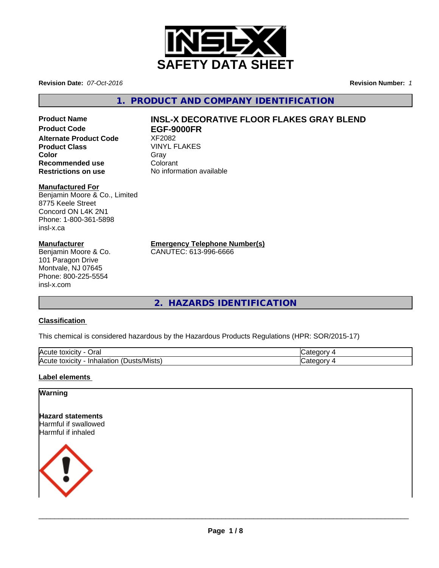

**Revision Date:** *07-Oct-2016* **Revision Number:** *1*

**1. PRODUCT AND COMPANY IDENTIFICATION**

**Alternate Product Code** XF2082 **Product Class**<br> **Color**<br>
Color
Color
Color
Color
Color
Color
Color
Color
Color
Color
Color
Color
Color
Color
Color
Color
Color
Color
Color
Color
Color
Color
Color
Color
Color
Color
Color
Color
Color
Color
Color
Color
Colo **Color** Gray Gray **Recommended use Colorant**<br> **Restrictions on use Colorant** No information available **Restrictions on use** 

#### **Manufactured For**

Benjamin Moore & Co., Limited 8775 Keele Street Concord ON L4K 2N1 Phone: 1-800-361-5898 insl-x.ca

#### **Manufacturer**

Benjamin Moore & Co. 101 Paragon Drive Montvale, NJ 07645 Phone: 800-225-5554 insl-x.com

# **Product Name INSL-X DECORATIVE FLOOR FLAKES GRAY BLEND**<br>Product Code **FGF-9000FR Product Code EGF-9000FR**

**Emergency Telephone Number(s)**

CANUTEC: 613-996-6666

**2. HAZARDS IDENTIFICATION**

### **Classification**

This chemical is considered hazardous by the Hazardous Products Regulations (HPR: SOR/2015-17)

| <b>IAC</b><br>Oral<br><b>IOXICIT</b><br>ע ו                                      | - -      |
|----------------------------------------------------------------------------------|----------|
| $\blacksquare$<br>lAcı<br>∵/Mists<br>Inhalation<br>toxicity<br><b>ust</b><br>. . | ж<br>. . |

#### **Label elements**

#### **Warning**

**Hazard statements** Harmful if swallowed Harmful if inhaled



 $\overline{\phantom{a}}$  ,  $\overline{\phantom{a}}$  ,  $\overline{\phantom{a}}$  ,  $\overline{\phantom{a}}$  ,  $\overline{\phantom{a}}$  ,  $\overline{\phantom{a}}$  ,  $\overline{\phantom{a}}$  ,  $\overline{\phantom{a}}$  ,  $\overline{\phantom{a}}$  ,  $\overline{\phantom{a}}$  ,  $\overline{\phantom{a}}$  ,  $\overline{\phantom{a}}$  ,  $\overline{\phantom{a}}$  ,  $\overline{\phantom{a}}$  ,  $\overline{\phantom{a}}$  ,  $\overline{\phantom{a}}$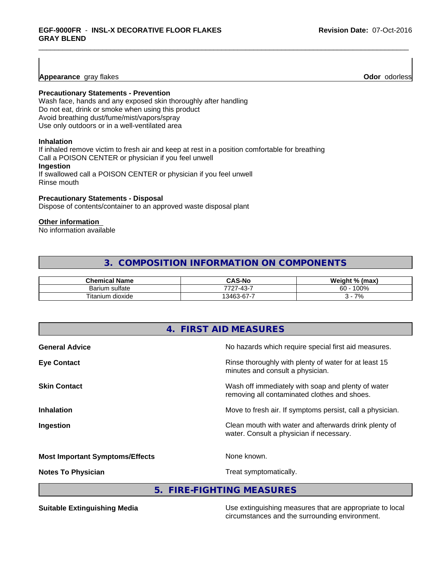**Appearance** gray flakes **Odor** *Odor**Collection* **Contract and Collection Collection Contract and Collection Contract and Contract and Collection Contract and Collection Contract and Collection Contract and Collection Co** 

#### **Precautionary Statements - Prevention**

Wash face, hands and any exposed skin thoroughly after handling Do not eat, drink or smoke when using this product Avoid breathing dust/fume/mist/vapors/spray Use only outdoors or in a well-ventilated area

#### **Inhalation**

If inhaled remove victim to fresh air and keep at rest in a position comfortable for breathing Call a POISON CENTER or physician if you feel unwell **Ingestion**

If swallowed call a POISON CENTER or physician if you feel unwell Rinse mouth

#### **Precautionary Statements - Disposal**

Dispose of contents/container to an approved waste disposal plant

#### **Other information**

No information available

# **3. COMPOSITION INFORMATION ON COMPONENTS**

| .<br>Chem<br>∘mical Name    | ົAS-No                                        | Weiaht<br>$\mathbf{0}$<br>% (max) |
|-----------------------------|-----------------------------------------------|-----------------------------------|
| sulfate<br><b>Barium</b>    | $\sqrt{2}$<br>-<br>7707<br>$\sim$<br>$-$<br>∸ | 0.001<br>$\sim$<br>איטטי<br>бΟ    |
| $- -$<br>dioxide<br>itanium | -<br>$\sim$<br>13463<br>n-n.<br>. .           | 70/<br>7٥                         |

| No hazards which require special first aid measures.                                               |
|----------------------------------------------------------------------------------------------------|
| Rinse thoroughly with plenty of water for at least 15<br>minutes and consult a physician.          |
| Wash off immediately with soap and plenty of water<br>removing all contaminated clothes and shoes. |
| Move to fresh air. If symptoms persist, call a physician.                                          |
| Clean mouth with water and afterwards drink plenty of<br>water. Consult a physician if necessary.  |
| None known.                                                                                        |
| Treat symptomatically.                                                                             |
|                                                                                                    |

**5. FIRE-FIGHTING MEASURES**

**Suitable Extinguishing Media** Media Use extinguishing measures that are appropriate to local circumstances and the surrounding environment.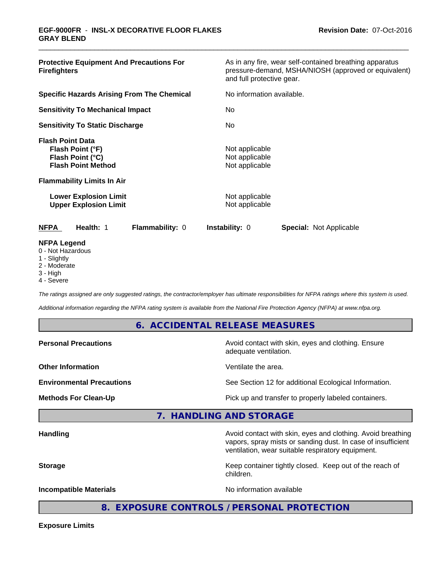| <b>Protective Equipment And Precautions For</b><br><b>Firefighters</b>                                                                                                                            | As in any fire, wear self-contained breathing apparatus<br>pressure-demand, MSHA/NIOSH (approved or equivalent)<br>and full protective gear. |  |  |
|---------------------------------------------------------------------------------------------------------------------------------------------------------------------------------------------------|----------------------------------------------------------------------------------------------------------------------------------------------|--|--|
| <b>Specific Hazards Arising From The Chemical</b>                                                                                                                                                 | No information available.                                                                                                                    |  |  |
| <b>Sensitivity To Mechanical Impact</b>                                                                                                                                                           | No.                                                                                                                                          |  |  |
| <b>Sensitivity To Static Discharge</b>                                                                                                                                                            | No.                                                                                                                                          |  |  |
| <b>Flash Point Data</b><br>Flash Point (°F)<br>Flash Point (°C)<br><b>Flash Point Method</b><br><b>Flammability Limits In Air</b><br><b>Lower Explosion Limit</b><br><b>Upper Explosion Limit</b> | Not applicable<br>Not applicable<br>Not applicable<br>Not applicable<br>Not applicable                                                       |  |  |
| Health: 1<br>Flammability: 0<br><b>NFPA</b>                                                                                                                                                       | <b>Instability: 0</b><br><b>Special: Not Applicable</b>                                                                                      |  |  |
| <b>NFPA Legend</b><br>0 - Not Hazardous<br>1 - Slightly                                                                                                                                           |                                                                                                                                              |  |  |

- 2 Moderate
- 3 High
- 4 Severe

*The ratings assigned are only suggested ratings, the contractor/employer has ultimate responsibilities for NFPA ratings where this system is used.*

*Additional information regarding the NFPA rating system is available from the National Fire Protection Agency (NFPA) at www.nfpa.org.*

#### **6. ACCIDENTAL RELEASE MEASURES**

| <b>Personal Precautions</b>      | Avoid contact with skin, eyes and clothing. Ensure<br>adequate ventilation.                                                 |
|----------------------------------|-----------------------------------------------------------------------------------------------------------------------------|
| <b>Other Information</b>         | Ventilate the area.                                                                                                         |
| <b>Environmental Precautions</b> | See Section 12 for additional Ecological Information.                                                                       |
| <b>Methods For Clean-Up</b>      | Pick up and transfer to properly labeled containers.                                                                        |
|                                  | 7. HANDLING AND STORAGE                                                                                                     |
| <b>Handling</b>                  | Avoid contact with skin, eyes and clothing. Avoid breathing<br>vapors, spray mists or sanding dust. In case of insufficient |

**Storage** Keep container tightly closed. Keep out of the reach of

**Incompatible Materials Incompatible Materials No information available** 

ventilation, wear suitable respiratory equipment.

**8. EXPOSURE CONTROLS / PERSONAL PROTECTION**

children.

**Exposure Limits**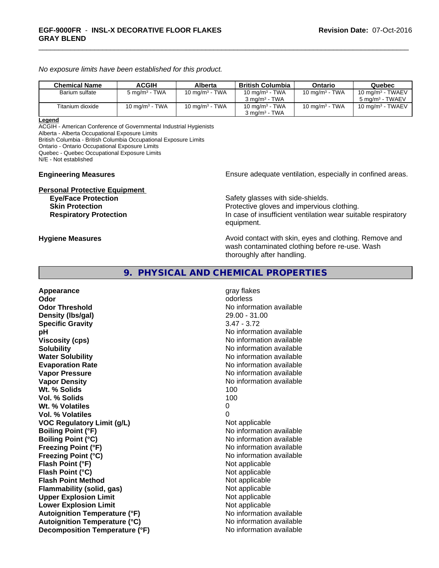*No exposure limits have been established for this product.*

| <b>Chemical Name</b> | <b>ACGIH</b>             | Alberta                    | British Columbia                                       | Ontario           | Quebec                                             |
|----------------------|--------------------------|----------------------------|--------------------------------------------------------|-------------------|----------------------------------------------------|
| Barium sulfate       | $5 \text{ mg/m}^3$ - TWA | 10 mg/m <sup>3</sup> - TWA | 10 mg/m <sup>3</sup> - TWA<br>$3 \text{ ma/m}^3$ - TWA | 10 mg/m $3$ - TWA | 10 mg/m $3$ - TWAEV<br>5 mg/m <sup>3</sup> - TWAEV |
| Titanium dioxide     | 10 mg/m $3$ - TWA        | 10 mg/m $3$ - TWA          | 10 mg/m $3$ - TWA<br>$3 \text{ ma/m}^3$ - TWA          | 10 mg/m $3$ - TWA | 10 mg/m $3$ - TWAEV                                |

#### **Legend**

ACGIH - American Conference of Governmental Industrial Hygienists Alberta - Alberta Occupational Exposure Limits

British Columbia - British Columbia Occupational Exposure Limits

Ontario - Ontario Occupational Exposure Limits

Quebec - Quebec Occupational Exposure Limits

N/E - Not established

# **Personal Protective Equipment**<br> **Eye/Face Protection**

**Engineering Measures Ensure adequate ventilation, especially in confined areas.** 

Safety glasses with side-shields. **Skin Protection Protection Protective gloves and impervious clothing. Respiratory Protection In case of insufficient ventilation wear suitable respiratory** equipment.

**Hygiene Measures Avoid contact with skin, eyes and clothing. Remove and Avoid contact with skin, eyes and clothing. Remove and Avoid contact with skin, eyes and clothing. Remove and** wash contaminated clothing before re-use. Wash thoroughly after handling.

## **9. PHYSICAL AND CHEMICAL PROPERTIES**

**Appearance** gray flakes **Odor** odorless **Odor Threshold** No information available **Density (lbs/gal)** 29.00 - 31.00 **Specific Gravity** 3.47 - 3.72 **pH pH**  $\blacksquare$ **Viscosity (cps)** No information available **Solubility No information available No information available Water Solubility No information available No information available Evaporation Rate No information available No information available Vapor Pressure** No information available **Vapor Density No information available No** information available **Wt. % Solids** 100 **Vol. % Solids** 100 Wt. % Volatiles 0 **Vol. % Volatiles** 0 **VOC** Regulatory Limit (g/L) Not applicable **Boiling Point (°F)** No information available **Boiling Point (°C)** No information available **Freezing Point (°F)** No information available **Freezing Point (°C)** The state of the Mondo No information available **Flash Point (°F)** Not applicable **Flash Point (°C)** Not applicable **Flash Point Method** Not applicable **Flammability (solid, gas)** Not applicable **Upper Explosion Limit** Not applicable **Lower Explosion Limit Contract Accord Accord Accord Accord Accord Accord Accord Accord Accord Accord Accord Accord Accord Accord Accord Accord Accord Accord Accord Accord Accord Accord Accord Accord Accord Accord Accord Autoignition Temperature (°F)** No information available **Autoignition Temperature (°C)** No information available **Decomposition Temperature (°F)** No information available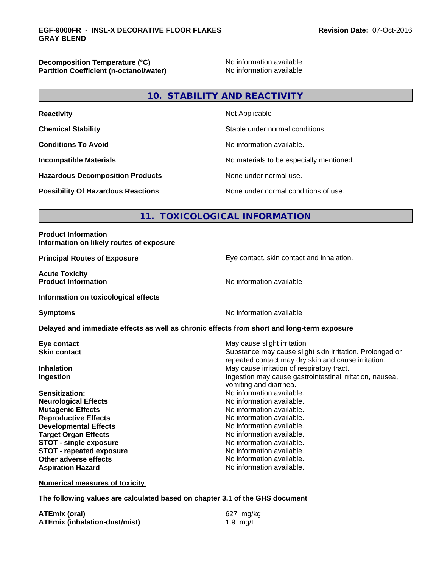**Decomposition Temperature (°C)**<br> **Partition Coefficient (n-octanol/water)** No information available **Partition Coefficient (n-octanol/water)** 

# **10. STABILITY AND REACTIVITY**

| <b>Reactivity</b>                         | Not Applicable                           |
|-------------------------------------------|------------------------------------------|
| <b>Chemical Stability</b>                 | Stable under normal conditions.          |
| <b>Conditions To Avoid</b>                | No information available.                |
| <b>Incompatible Materials</b>             | No materials to be especially mentioned. |
| <b>Hazardous Decomposition Products</b>   | None under normal use.                   |
| <b>Possibility Of Hazardous Reactions</b> | None under normal conditions of use.     |

# **11. TOXICOLOGICAL INFORMATION**

#### **Product Information Information on likely routes of exposure**

**Acute Toxicity Product Information** 

**Principal Routes of Exposure Exposure** Eye contact, skin contact and inhalation.

**Information on toxicological effects**

**Symptoms** No information available

#### **Delayed and immediate effects as well as chronic effects from short and long-term exposure**

**Eye contact Execution Skin contact** May cause slight irritation<br> **Skin contact** Contact Contact Contact Contact Contact Contact Contact Contact Contact Contact Contact Contact Conta

**Sensitization:** No information available. **Neurological Effects** Noinformation available. **Mutagenic Effects Mutagenic Effects No information available. Reproductive Effects No information available. Developmental Effects No information available.**<br> **Paraet Organ Effects No information available. Target Organ Effects**<br> **STOT - single exposure**<br>
STOT - single exposure<br>
No information available. **STOT** - single exposure **STOT** - **repeated exposure** *CON* **Other adverse effects** No information available. **Aspiration Hazard Aspiration Hazard No information available.** 

Substance may cause slight skin irritation. Prolonged or repeated contact may dry skin and cause irritation. **Inhalation** May cause irritation of respiratory tract. **Ingestion Ingestion Ingestion may cause gastrointestinal irritation, nausea,** vomiting and diarrhea.

**Numerical measures of toxicity**

**The following values are calculated based on chapter 3.1 of the GHS document**

| <b>ATEmix (oral)</b>                 | 627 mg/kg  |
|--------------------------------------|------------|
| <b>ATEmix (inhalation-dust/mist)</b> | 1.9 $mg/L$ |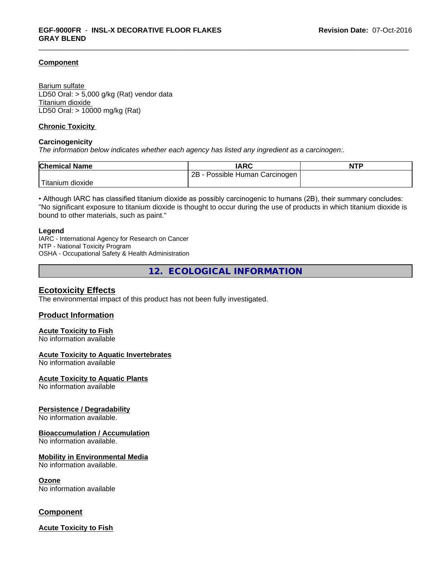#### **Component**

Barium sulfate LD50 Oral: > 5,000 g/kg (Rat) vendor data Titanium dioxide LD50 Oral: > 10000 mg/kg (Rat)

#### **Chronic Toxicity**

#### **Carcinogenicity**

*The information below indicateswhether each agency has listed any ingredient as a carcinogen:.*

| <b>Chemical Name</b> | <b>IARC</b>                     | <b>NTP</b> |
|----------------------|---------------------------------|------------|
|                      | 2Β<br>Possible Human Carcinogen |            |
| dioxide<br>Fitanium  |                                 |            |

• Although IARC has classified titanium dioxide as possibly carcinogenic to humans (2B), their summary concludes: "No significant exposure to titanium dioxide is thought to occur during the use of products in which titanium dioxide is bound to other materials, such as paint."

#### **Legend**

IARC - International Agency for Research on Cancer NTP - National Toxicity Program OSHA - Occupational Safety & Health Administration

**12. ECOLOGICAL INFORMATION**

#### **Ecotoxicity Effects**

The environmental impact of this product has not been fully investigated.

#### **Product Information**

#### **Acute Toxicity to Fish**

No information available

#### **Acute Toxicity to Aquatic Invertebrates**

No information available

#### **Acute Toxicity to Aquatic Plants**

No information available

#### **Persistence / Degradability**

No information available.

#### **Bioaccumulation / Accumulation**

No information available.

#### **Mobility in Environmental Media**

No information available.

#### **Ozone**

No information available

#### **Component**

**Acute Toxicity to Fish**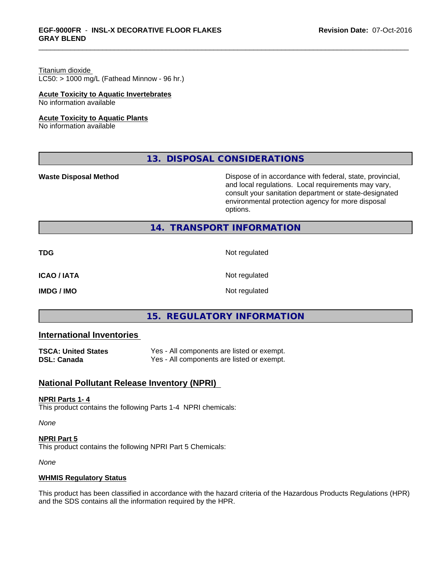# Titanium dioxide

 $LC50:$  > 1000 mg/L (Fathead Minnow - 96 hr.)

#### **Acute Toxicity to Aquatic Invertebrates**

No information available

#### **Acute Toxicity to Aquatic Plants**

No information available

# **13. DISPOSAL CONSIDERATIONS**

**Waste Disposal Method Dispose of in accordance with federal, state, provincial,** and local regulations. Local requirements may vary, consult your sanitation department or state-designated environmental protection agency for more disposal options.

# **14. TRANSPORT INFORMATION**

**TDG** Not regulated

**ICAO / IATA** Not regulated

**IMDG / IMO** Not regulated

# **15. REGULATORY INFORMATION**

# **International Inventories**

| <b>TSCA: United States</b> | Yes - All components are listed or exempt. |
|----------------------------|--------------------------------------------|
| <b>DSL: Canada</b>         | Yes - All components are listed or exempt. |

# **National Pollutant Release Inventory (NPRI)**

#### **NPRI Parts 1- 4**

This product contains the following Parts 1-4 NPRI chemicals:

*None*

**NPRI Part 5** This product contains the following NPRI Part 5 Chemicals:

*None*

#### **WHMIS Regulatory Status**

This product has been classified in accordance with the hazard criteria of the Hazardous Products Regulations (HPR) and the SDS contains all the information required by the HPR.